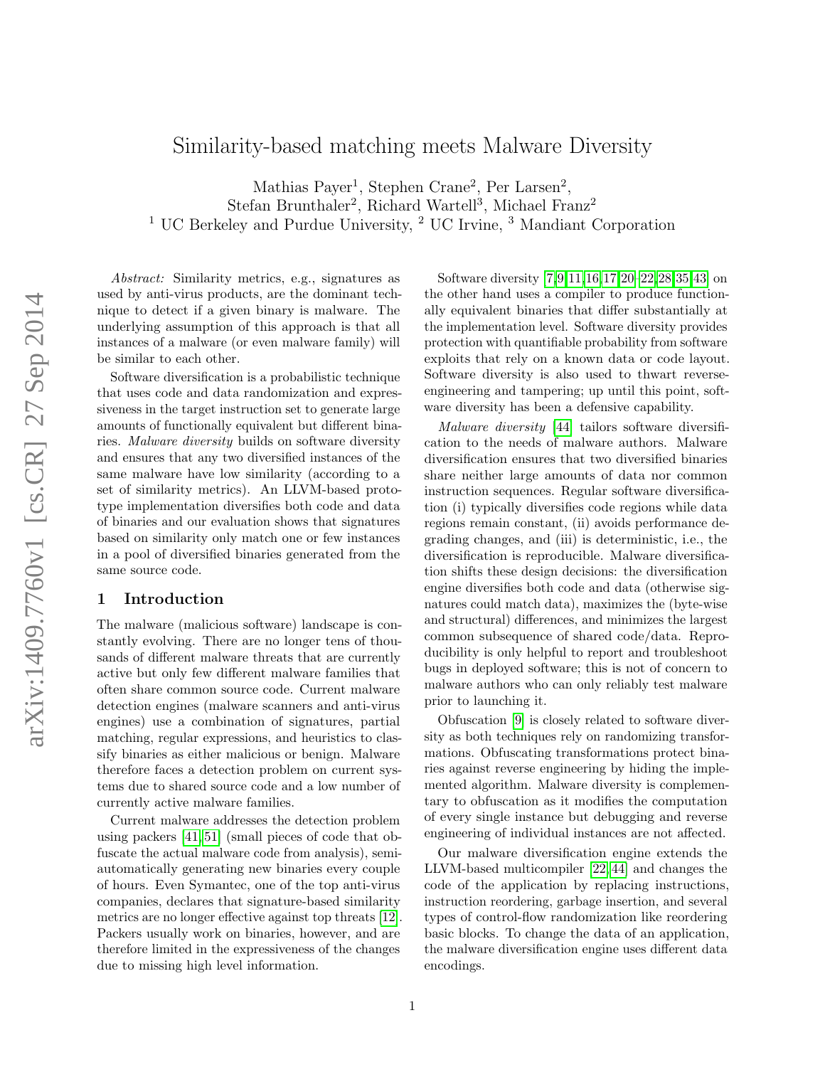# Similarity-based matching meets Malware Diversity

Mathias Payer<sup>1</sup>, Stephen Crane<sup>2</sup>, Per Larsen<sup>2</sup>, Stefan Brunthaler<sup>2</sup>, Richard Wartell<sup>3</sup>, Michael Franz<sup>2</sup> <sup>1</sup> UC Berkeley and Purdue University, <sup>2</sup> UC Irvine, <sup>3</sup> Mandiant Corporation

Abstract: Similarity metrics, e.g., signatures as used by anti-virus products, are the dominant technique to detect if a given binary is malware. The underlying assumption of this approach is that all instances of a malware (or even malware family) will be similar to each other.

Software diversification is a probabilistic technique that uses code and data randomization and expressiveness in the target instruction set to generate large amounts of functionally equivalent but different binaries. Malware diversity builds on software diversity and ensures that any two diversified instances of the same malware have low similarity (according to a set of similarity metrics). An LLVM-based prototype implementation diversifies both code and data of binaries and our evaluation shows that signatures based on similarity only match one or few instances in a pool of diversified binaries generated from the same source code.

# 1 Introduction

The malware (malicious software) landscape is constantly evolving. There are no longer tens of thousands of different malware threats that are currently active but only few different malware families that often share common source code. Current malware detection engines (malware scanners and anti-virus engines) use a combination of signatures, partial matching, regular expressions, and heuristics to classify binaries as either malicious or benign. Malware therefore faces a detection problem on current systems due to shared source code and a low number of currently active malware families.

Current malware addresses the detection problem using packers [\[41,](#page-8-0) [51\]](#page-8-1) (small pieces of code that obfuscate the actual malware code from analysis), semiautomatically generating new binaries every couple of hours. Even Symantec, one of the top anti-virus companies, declares that signature-based similarity metrics are no longer effective against top threats [\[12\]](#page-7-0). Packers usually work on binaries, however, and are therefore limited in the expressiveness of the changes due to missing high level information.

Software diversity [\[7,](#page-7-1)[9,](#page-7-2)[11,](#page-7-3)[16,](#page-7-4)[17,](#page-7-5)[20–](#page-7-6)[22,](#page-7-7)[28,](#page-7-8)[35,](#page-7-9)[43\]](#page-8-2) on the other hand uses a compiler to produce functionally equivalent binaries that differ substantially at the implementation level. Software diversity provides protection with quantifiable probability from software exploits that rely on a known data or code layout. Software diversity is also used to thwart reverseengineering and tampering; up until this point, software diversity has been a defensive capability.

Malware diversity [\[44\]](#page-8-3) tailors software diversification to the needs of malware authors. Malware diversification ensures that two diversified binaries share neither large amounts of data nor common instruction sequences. Regular software diversification (i) typically diversifies code regions while data regions remain constant, (ii) avoids performance degrading changes, and (iii) is deterministic, i.e., the diversification is reproducible. Malware diversification shifts these design decisions: the diversification engine diversifies both code and data (otherwise signatures could match data), maximizes the (byte-wise and structural) differences, and minimizes the largest common subsequence of shared code/data. Reproducibility is only helpful to report and troubleshoot bugs in deployed software; this is not of concern to malware authors who can only reliably test malware prior to launching it.

Obfuscation [\[9\]](#page-7-2) is closely related to software diversity as both techniques rely on randomizing transformations. Obfuscating transformations protect binaries against reverse engineering by hiding the implemented algorithm. Malware diversity is complementary to obfuscation as it modifies the computation of every single instance but debugging and reverse engineering of individual instances are not affected.

Our malware diversification engine extends the LLVM-based multicompiler [\[22,](#page-7-7) [44\]](#page-8-3) and changes the code of the application by replacing instructions, instruction reordering, garbage insertion, and several types of control-flow randomization like reordering basic blocks. To change the data of an application, the malware diversification engine uses different data encodings.

1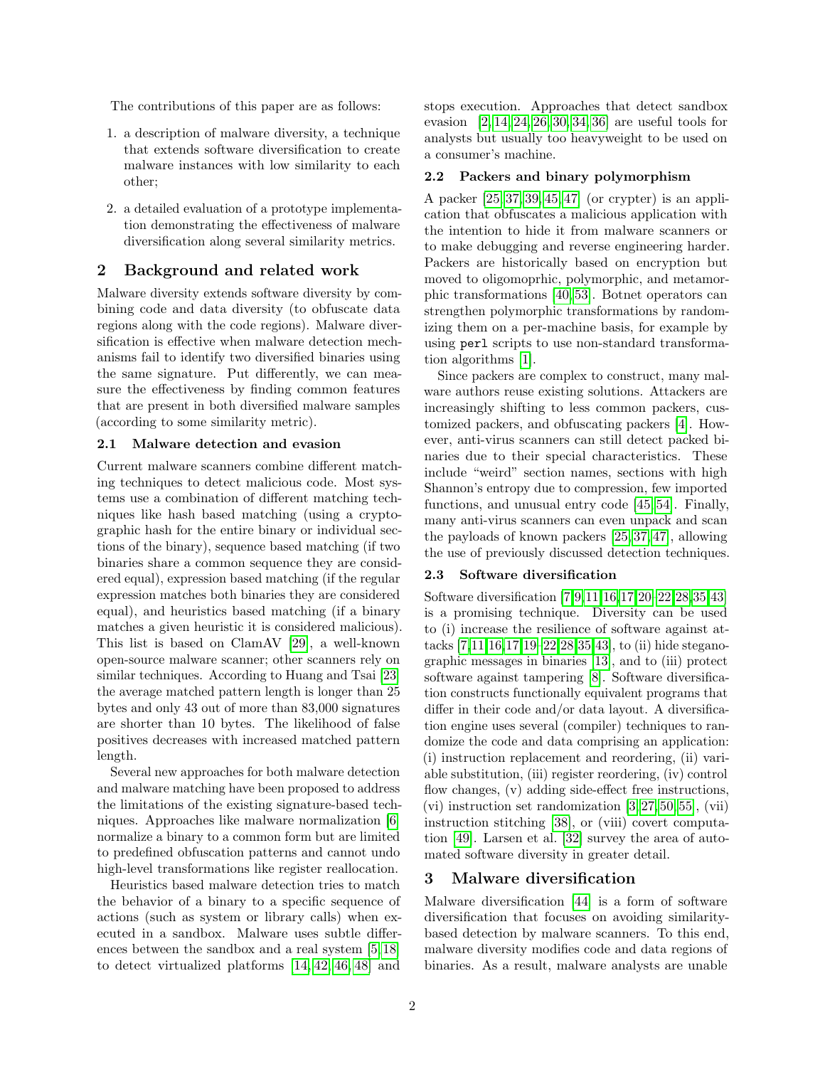The contributions of this paper are as follows:

- 1. a description of malware diversity, a technique that extends software diversification to create malware instances with low similarity to each other;
- 2. a detailed evaluation of a prototype implementation demonstrating the effectiveness of malware diversification along several similarity metrics.

# 2 Background and related work

Malware diversity extends software diversity by combining code and data diversity (to obfuscate data regions along with the code regions). Malware diversification is effective when malware detection mechanisms fail to identify two diversified binaries using the same signature. Put differently, we can measure the effectiveness by finding common features that are present in both diversified malware samples (according to some similarity metric).

## <span id="page-1-2"></span>2.1 Malware detection and evasion

Current malware scanners combine different matching techniques to detect malicious code. Most systems use a combination of different matching techniques like hash based matching (using a cryptographic hash for the entire binary or individual sections of the binary), sequence based matching (if two binaries share a common sequence they are considered equal), expression based matching (if the regular expression matches both binaries they are considered equal), and heuristics based matching (if a binary matches a given heuristic it is considered malicious). This list is based on ClamAV [\[29\]](#page-7-10), a well-known open-source malware scanner; other scanners rely on similar techniques. According to Huang and Tsai [\[23\]](#page-7-11) the average matched pattern length is longer than 25 bytes and only 43 out of more than 83,000 signatures are shorter than 10 bytes. The likelihood of false positives decreases with increased matched pattern length.

Several new approaches for both malware detection and malware matching have been proposed to address the limitations of the existing signature-based techniques. Approaches like malware normalization [\[6\]](#page-7-12) normalize a binary to a common form but are limited to predefined obfuscation patterns and cannot undo high-level transformations like register reallocation.

Heuristics based malware detection tries to match the behavior of a binary to a specific sequence of actions (such as system or library calls) when executed in a sandbox. Malware uses subtle differences between the sandbox and a real system [\[5,](#page-7-13) [18\]](#page-7-14) to detect virtualized platforms [\[14,](#page-7-15) [42,](#page-8-4) [46,](#page-8-5) [48\]](#page-8-6) and

stops execution. Approaches that detect sandbox evasion [\[2,](#page-7-16) [14,](#page-7-15) [24,](#page-7-17) [26,](#page-7-18) [30,](#page-7-19) [34,](#page-7-20) [36\]](#page-8-7) are useful tools for analysts but usually too heavyweight to be used on a consumer's machine.

#### <span id="page-1-0"></span>2.2 Packers and binary polymorphism

A packer [\[25,](#page-7-21) [37,](#page-8-8) [39,](#page-8-9) [45,](#page-8-10) [47\]](#page-8-11) (or crypter) is an application that obfuscates a malicious application with the intention to hide it from malware scanners or to make debugging and reverse engineering harder. Packers are historically based on encryption but moved to oligomoprhic, polymorphic, and metamorphic transformations [\[40,](#page-8-12) [53\]](#page-8-13). Botnet operators can strengthen polymorphic transformations by randomizing them on a per-machine basis, for example by using perl scripts to use non-standard transformation algorithms [\[1\]](#page-7-22).

Since packers are complex to construct, many malware authors reuse existing solutions. Attackers are increasingly shifting to less common packers, customized packers, and obfuscating packers [\[4\]](#page-7-23). However, anti-virus scanners can still detect packed binaries due to their special characteristics. These include "weird" section names, sections with high Shannon's entropy due to compression, few imported functions, and unusual entry code [\[45,](#page-8-10) [54\]](#page-8-14). Finally, many anti-virus scanners can even unpack and scan the payloads of known packers [\[25,](#page-7-21) [37,](#page-8-8) [47\]](#page-8-11), allowing the use of previously discussed detection techniques.

#### <span id="page-1-1"></span>2.3 Software diversification

Software diversification [\[7,](#page-7-1)[9,](#page-7-2)[11,](#page-7-3)[16,](#page-7-4)[17,](#page-7-5)[20–](#page-7-6)[22,](#page-7-7)[28,](#page-7-8)[35,](#page-7-9)[43\]](#page-8-2) is a promising technique. Diversity can be used to (i) increase the resilience of software against attacks [\[7,](#page-7-1)[11,](#page-7-3)[16,](#page-7-4)[17,](#page-7-5)[19](#page-7-24)[–22,](#page-7-7)[28,](#page-7-8)[35,](#page-7-9)[43\]](#page-8-2), to (ii) hide steganographic messages in binaries [\[13\]](#page-7-25), and to (iii) protect software against tampering [\[8\]](#page-7-26). Software diversification constructs functionally equivalent programs that differ in their code and/or data layout. A diversification engine uses several (compiler) techniques to randomize the code and data comprising an application: (i) instruction replacement and reordering, (ii) variable substitution, (iii) register reordering, (iv) control flow changes, (v) adding side-effect free instructions,  $(vi)$  instruction set randomization [\[3,](#page-7-27) [27,](#page-7-28) [50,](#page-8-15) [55\]](#page-8-16),  $(vii)$ instruction stitching [\[38\]](#page-8-17), or (viii) covert computation [\[49\]](#page-8-18). Larsen et al. [\[32\]](#page-7-29) survey the area of automated software diversity in greater detail.

# 3 Malware diversification

Malware diversification [\[44\]](#page-8-3) is a form of software diversification that focuses on avoiding similaritybased detection by malware scanners. To this end, malware diversity modifies code and data regions of binaries. As a result, malware analysts are unable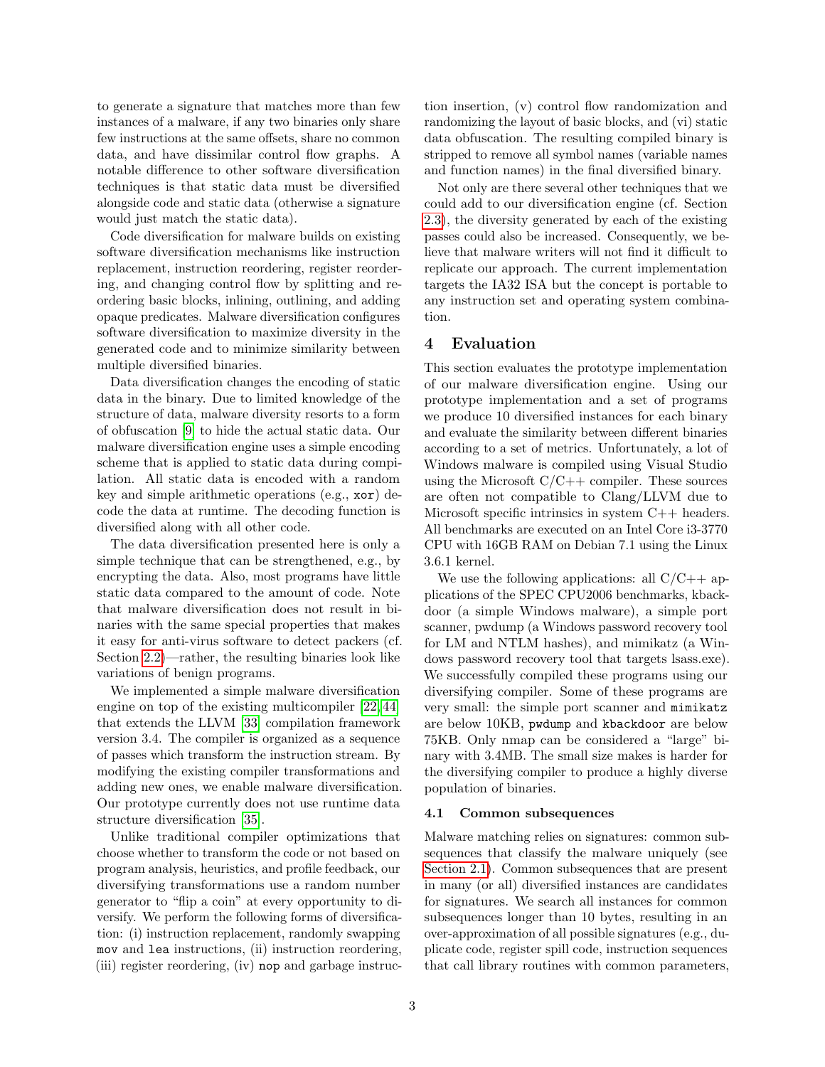to generate a signature that matches more than few instances of a malware, if any two binaries only share few instructions at the same offsets, share no common data, and have dissimilar control flow graphs. A notable difference to other software diversification techniques is that static data must be diversified alongside code and static data (otherwise a signature would just match the static data).

Code diversification for malware builds on existing software diversification mechanisms like instruction replacement, instruction reordering, register reordering, and changing control flow by splitting and reordering basic blocks, inlining, outlining, and adding opaque predicates. Malware diversification configures software diversification to maximize diversity in the generated code and to minimize similarity between multiple diversified binaries.

Data diversification changes the encoding of static data in the binary. Due to limited knowledge of the structure of data, malware diversity resorts to a form of obfuscation [\[9\]](#page-7-2) to hide the actual static data. Our malware diversification engine uses a simple encoding scheme that is applied to static data during compilation. All static data is encoded with a random key and simple arithmetic operations (e.g., xor) decode the data at runtime. The decoding function is diversified along with all other code.

The data diversification presented here is only a simple technique that can be strengthened, e.g., by encrypting the data. Also, most programs have little static data compared to the amount of code. Note that malware diversification does not result in binaries with the same special properties that makes it easy for anti-virus software to detect packers (cf. Section [2.2\)](#page-1-0)—rather, the resulting binaries look like variations of benign programs.

We implemented a simple malware diversification engine on top of the existing multicompiler [\[22,](#page-7-7) [44\]](#page-8-3) that extends the LLVM [\[33\]](#page-7-30) compilation framework version 3.4. The compiler is organized as a sequence of passes which transform the instruction stream. By modifying the existing compiler transformations and adding new ones, we enable malware diversification. Our prototype currently does not use runtime data structure diversification [\[35\]](#page-7-9).

Unlike traditional compiler optimizations that choose whether to transform the code or not based on program analysis, heuristics, and profile feedback, our diversifying transformations use a random number generator to "flip a coin" at every opportunity to diversify. We perform the following forms of diversification: (i) instruction replacement, randomly swapping mov and lea instructions, (ii) instruction reordering, (iii) register reordering, (iv) nop and garbage instruction insertion, (v) control flow randomization and randomizing the layout of basic blocks, and (vi) static data obfuscation. The resulting compiled binary is stripped to remove all symbol names (variable names and function names) in the final diversified binary.

Not only are there several other techniques that we could add to our diversification engine (cf. Section [2.3\)](#page-1-1), the diversity generated by each of the existing passes could also be increased. Consequently, we believe that malware writers will not find it difficult to replicate our approach. The current implementation targets the IA32 ISA but the concept is portable to any instruction set and operating system combination.

## 4 Evaluation

This section evaluates the prototype implementation of our malware diversification engine. Using our prototype implementation and a set of programs we produce 10 diversified instances for each binary and evaluate the similarity between different binaries according to a set of metrics. Unfortunately, a lot of Windows malware is compiled using Visual Studio using the Microsoft  $C/C++$  compiler. These sources are often not compatible to Clang/LLVM due to Microsoft specific intrinsics in system C++ headers. All benchmarks are executed on an Intel Core i3-3770 CPU with 16GB RAM on Debian 7.1 using the Linux 3.6.1 kernel.

We use the following applications: all  $C/C++$  applications of the SPEC CPU2006 benchmarks, kbackdoor (a simple Windows malware), a simple port scanner, pwdump (a Windows password recovery tool for LM and NTLM hashes), and mimikatz (a Windows password recovery tool that targets lsass.exe). We successfully compiled these programs using our diversifying compiler. Some of these programs are very small: the simple port scanner and mimikatz are below 10KB, pwdump and kbackdoor are below 75KB. Only nmap can be considered a "large" binary with 3.4MB. The small size makes is harder for the diversifying compiler to produce a highly diverse population of binaries.

#### 4.1 Common subsequences

Malware matching relies on signatures: common subsequences that classify the malware uniquely (see [Section 2.1\)](#page-1-2). Common subsequences that are present in many (or all) diversified instances are candidates for signatures. We search all instances for common subsequences longer than 10 bytes, resulting in an over-approximation of all possible signatures (e.g., duplicate code, register spill code, instruction sequences that call library routines with common parameters,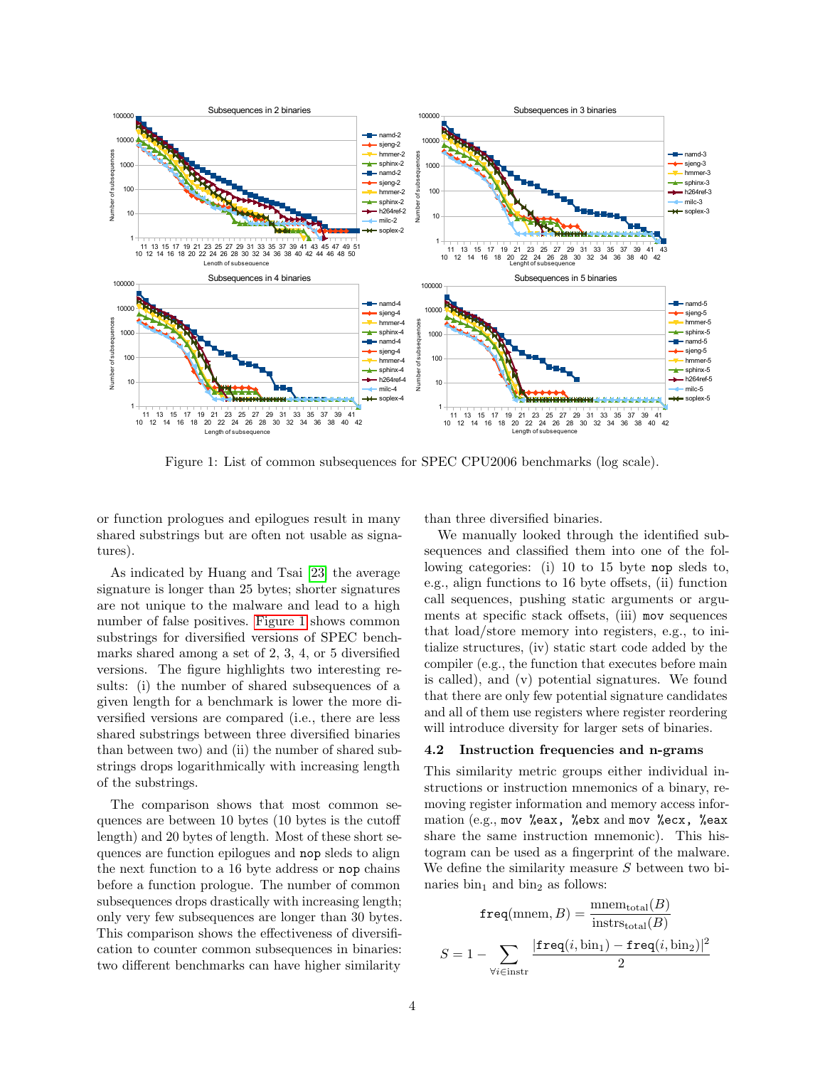

<span id="page-3-0"></span>Figure 1: List of common subsequences for SPEC CPU2006 benchmarks (log scale).

or function prologues and epilogues result in many shared substrings but are often not usable as signatures).

As indicated by Huang and Tsai [\[23\]](#page-7-11) the average signature is longer than 25 bytes; shorter signatures are not unique to the malware and lead to a high number of false positives. [Figure 1](#page-3-0) shows common substrings for diversified versions of SPEC benchmarks shared among a set of 2, 3, 4, or 5 diversified versions. The figure highlights two interesting results: (i) the number of shared subsequences of a given length for a benchmark is lower the more diversified versions are compared (i.e., there are less shared substrings between three diversified binaries than between two) and (ii) the number of shared substrings drops logarithmically with increasing length of the substrings.

The comparison shows that most common sequences are between 10 bytes (10 bytes is the cutoff length) and 20 bytes of length. Most of these short sequences are function epilogues and nop sleds to align the next function to a 16 byte address or nop chains before a function prologue. The number of common subsequences drops drastically with increasing length; only very few subsequences are longer than 30 bytes. This comparison shows the effectiveness of diversification to counter common subsequences in binaries: two different benchmarks can have higher similarity

than three diversified binaries.

We manually looked through the identified subsequences and classified them into one of the following categories: (i) 10 to 15 byte nop sleds to, e.g., align functions to 16 byte offsets, (ii) function call sequences, pushing static arguments or arguments at specific stack offsets, (iii) mov sequences that load/store memory into registers, e.g., to initialize structures, (iv) static start code added by the compiler (e.g., the function that executes before main is called), and (v) potential signatures. We found that there are only few potential signature candidates and all of them use registers where register reordering will introduce diversity for larger sets of binaries.

#### 4.2 Instruction frequencies and n-grams

This similarity metric groups either individual instructions or instruction mnemonics of a binary, removing register information and memory access information (e.g., mov %eax, %ebx and mov %ecx, %eax share the same instruction mnemonic). This histogram can be used as a fingerprint of the malware. We define the similarity measure  $S$  between two binaries  $\sin_1$  and  $\sin_2$  as follows:

$$
\mathbf{freq}(\text{mmem}, B) = \frac{\text{mmem}_{\text{total}}(B)}{\text{instr}_{\text{total}}(B)}
$$

$$
S = 1 - \sum_{\forall i \in \text{instr}} \frac{|\mathbf{freq}(i, \text{bin}_1) - \mathbf{freq}(i, \text{bin}_2)|^2}{2}
$$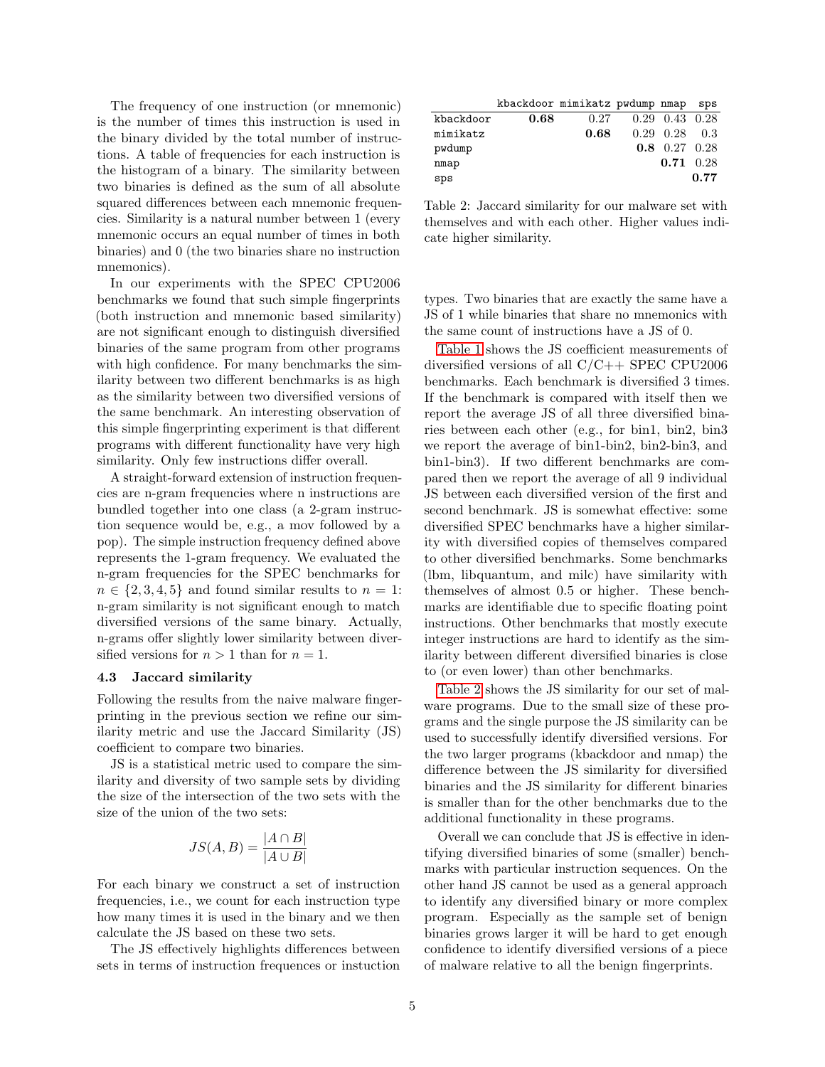The frequency of one instruction (or mnemonic) is the number of times this instruction is used in the binary divided by the total number of instructions. A table of frequencies for each instruction is the histogram of a binary. The similarity between two binaries is defined as the sum of all absolute squared differences between each mnemonic frequencies. Similarity is a natural number between 1 (every mnemonic occurs an equal number of times in both binaries) and 0 (the two binaries share no instruction mnemonics).

In our experiments with the SPEC CPU2006 benchmarks we found that such simple fingerprints (both instruction and mnemonic based similarity) are not significant enough to distinguish diversified binaries of the same program from other programs with high confidence. For many benchmarks the similarity between two different benchmarks is as high as the similarity between two diversified versions of the same benchmark. An interesting observation of this simple fingerprinting experiment is that different programs with different functionality have very high similarity. Only few instructions differ overall.

A straight-forward extension of instruction frequencies are n-gram frequencies where n instructions are bundled together into one class (a 2-gram instruction sequence would be, e.g., a mov followed by a pop). The simple instruction frequency defined above represents the 1-gram frequency. We evaluated the n-gram frequencies for the SPEC benchmarks for  $n \in \{2, 3, 4, 5\}$  and found similar results to  $n = 1$ : n-gram similarity is not significant enough to match diversified versions of the same binary. Actually, n-grams offer slightly lower similarity between diversified versions for  $n > 1$  than for  $n = 1$ .

#### 4.3 Jaccard similarity

Following the results from the naive malware fingerprinting in the previous section we refine our similarity metric and use the Jaccard Similarity (JS) coefficient to compare two binaries.

JS is a statistical metric used to compare the similarity and diversity of two sample sets by dividing the size of the intersection of the two sets with the size of the union of the two sets:

$$
JS(A, B) = \frac{|A \cap B|}{|A \cup B|}
$$

For each binary we construct a set of instruction frequencies, i.e., we count for each instruction type how many times it is used in the binary and we then calculate the JS based on these two sets.

The JS effectively highlights differences between sets in terms of instruction frequences or instuction

|           |      | kbackdoor mimikatz pwdump nmap sps |                             |      |
|-----------|------|------------------------------------|-----------------------------|------|
| kbackdoor | 0.68 | 0.27                               | $0.29$ $0.43$ $0.28$        |      |
| mimikatz  |      | 0.68                               | $0.29$ $0.28$ $0.3$         |      |
| pwdump    |      |                                    | $0.8 \quad 0.27 \quad 0.28$ |      |
| nmap      |      |                                    | $0.71 \quad 0.28$           |      |
| sps       |      |                                    |                             | 0.77 |
|           |      |                                    |                             |      |

<span id="page-4-0"></span>Table 2: Jaccard similarity for our malware set with themselves and with each other. Higher values indicate higher similarity.

types. Two binaries that are exactly the same have a JS of 1 while binaries that share no mnemonics with the same count of instructions have a JS of 0.

[Table 1](#page-5-0) shows the JS coefficient measurements of diversified versions of all  $C/C++$  SPEC CPU2006 benchmarks. Each benchmark is diversified 3 times. If the benchmark is compared with itself then we report the average JS of all three diversified binaries between each other (e.g., for bin1, bin2, bin3 we report the average of bin1-bin2, bin2-bin3, and bin1-bin3). If two different benchmarks are compared then we report the average of all 9 individual JS between each diversified version of the first and second benchmark. JS is somewhat effective: some diversified SPEC benchmarks have a higher similarity with diversified copies of themselves compared to other diversified benchmarks. Some benchmarks (lbm, libquantum, and milc) have similarity with themselves of almost 0.5 or higher. These benchmarks are identifiable due to specific floating point instructions. Other benchmarks that mostly execute integer instructions are hard to identify as the similarity between different diversified binaries is close to (or even lower) than other benchmarks.

[Table 2](#page-4-0) shows the JS similarity for our set of malware programs. Due to the small size of these programs and the single purpose the JS similarity can be used to successfully identify diversified versions. For the two larger programs (kbackdoor and nmap) the difference between the JS similarity for diversified binaries and the JS similarity for different binaries is smaller than for the other benchmarks due to the additional functionality in these programs.

Overall we can conclude that JS is effective in identifying diversified binaries of some (smaller) benchmarks with particular instruction sequences. On the other hand JS cannot be used as a general approach to identify any diversified binary or more complex program. Especially as the sample set of benign binaries grows larger it will be hard to get enough confidence to identify diversified versions of a piece of malware relative to all the benign fingerprints.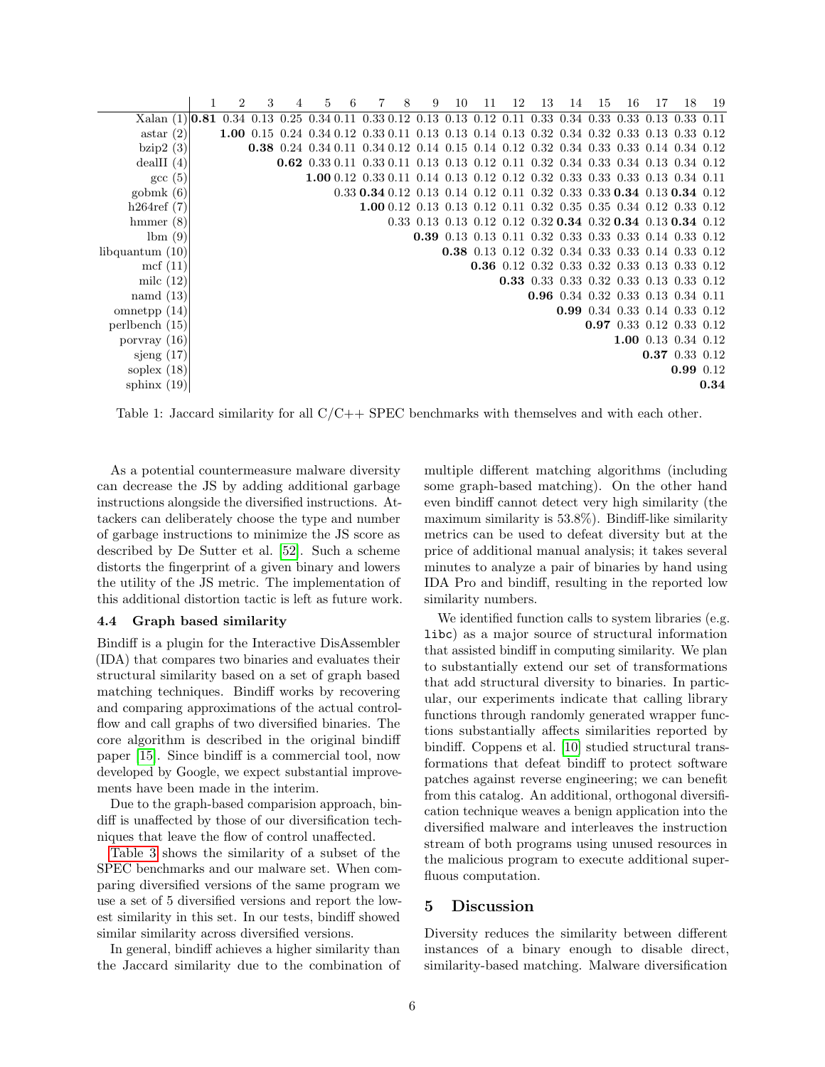|                                                                                                                 | 2 | 3 | 5 | 6 |                                                                                                   | 8 | 9 | 10 | 11 | 12 | 13 | 14                                                          | 15 | 16                       | 17 | 18                  | 19   |
|-----------------------------------------------------------------------------------------------------------------|---|---|---|---|---------------------------------------------------------------------------------------------------|---|---|----|----|----|----|-------------------------------------------------------------|----|--------------------------|----|---------------------|------|
| Xalan (1) <b>0.81</b> 0.34 0.13 0.25 0.34 0.11 0.33 0.12 0.13 0.13 0.12 0.11 0.33 0.34 0.33 0.33 0.13 0.33 0.11 |   |   |   |   |                                                                                                   |   |   |    |    |    |    |                                                             |    |                          |    |                     |      |
| astar(2)                                                                                                        |   |   |   |   | 1.00 0.15 0.24 0.34 0.12 0.33 0.11 0.13 0.13 0.14 0.13 0.32 0.34 0.32 0.33 0.13 0.33 0.12         |   |   |    |    |    |    |                                                             |    |                          |    |                     |      |
| bzip2(3)                                                                                                        |   |   |   |   | 0.38 0.24 0.34 0.11 0.34 0.12 0.14 0.15 0.14 0.12 0.32 0.34 0.33 0.33 0.14 0.34 0.12              |   |   |    |    |    |    |                                                             |    |                          |    |                     |      |
| deallI(4)                                                                                                       |   |   |   |   | 0.62 0.33 0.11 0.33 0.11 0.13 0.13 0.12 0.11 0.32 0.34 0.33 0.34 0.13 0.34 0.12                   |   |   |    |    |    |    |                                                             |    |                          |    |                     |      |
| $\rm gcc~(5)$                                                                                                   |   |   |   |   | 1.00 0.12 0.33 0.11 0.14 0.13 0.12 0.12 0.32 0.33 0.33 0.33 0.13 0.34 0.11                        |   |   |    |    |    |    |                                                             |    |                          |    |                     |      |
| gobmk(6)                                                                                                        |   |   |   |   | $0.33$ $0.34$ $0.12$ $0.13$ $0.14$ $0.12$ $0.11$ $0.32$ $0.33$ $0.33$ $0.34$ $0.13$ $0.34$ $0.12$ |   |   |    |    |    |    |                                                             |    |                          |    |                     |      |
| h264ref(7)                                                                                                      |   |   |   |   | 1.00 0.12 0.13 0.13 0.12 0.11 0.32 0.35 0.35 0.34 0.12 0.33 0.12                                  |   |   |    |    |    |    |                                                             |    |                          |    |                     |      |
| $h$ mmer $(8)$                                                                                                  |   |   |   |   |                                                                                                   |   |   |    |    |    |    | 0.33 0.13 0.13 0.12 0.12 0.32 0.34 0.32 0.34 0.13 0.34 0.12 |    |                          |    |                     |      |
| lbm(9)                                                                                                          |   |   |   |   |                                                                                                   |   |   |    |    |    |    | 0.39 0.13 0.13 0.11 0.32 0.33 0.33 0.33 0.14 0.33 0.12      |    |                          |    |                     |      |
| libquantum $(10)$                                                                                               |   |   |   |   |                                                                                                   |   |   |    |    |    |    | 0.38 0.13 0.12 0.32 0.34 0.33 0.33 0.14 0.33 0.12           |    |                          |    |                     |      |
| mcf $(11)$                                                                                                      |   |   |   |   |                                                                                                   |   |   |    |    |    |    | 0.36 0.12 0.32 0.33 0.32 0.33 0.13 0.33 0.12                |    |                          |    |                     |      |
| milc $(12)$                                                                                                     |   |   |   |   |                                                                                                   |   |   |    |    |    |    | 0.33 0.33 0.33 0.32 0.33 0.13 0.33 0.12                     |    |                          |    |                     |      |
| namd $(13)$                                                                                                     |   |   |   |   |                                                                                                   |   |   |    |    |    |    | 0.96 0.34 0.32 0.33 0.13 0.34 0.11                          |    |                          |    |                     |      |
| omnetpp $(14)$                                                                                                  |   |   |   |   |                                                                                                   |   |   |    |    |    |    | 0.99 0.34 0.33 0.14 0.33 0.12                               |    |                          |    |                     |      |
| perlbench (15)                                                                                                  |   |   |   |   |                                                                                                   |   |   |    |    |    |    |                                                             |    | 0.97 0.33 0.12 0.33 0.12 |    |                     |      |
| porvray $(16)$                                                                                                  |   |   |   |   |                                                                                                   |   |   |    |    |    |    |                                                             |    |                          |    | 1.00 0.13 0.34 0.12 |      |
| sjeng $(17)$                                                                                                    |   |   |   |   |                                                                                                   |   |   |    |    |    |    |                                                             |    |                          |    | 0.37 0.33 0.12      |      |
| soplex $(18)$                                                                                                   |   |   |   |   |                                                                                                   |   |   |    |    |    |    |                                                             |    |                          |    | 0.99 0.12           |      |
| sphinx $(19)$                                                                                                   |   |   |   |   |                                                                                                   |   |   |    |    |    |    |                                                             |    |                          |    |                     | 0.34 |
|                                                                                                                 |   |   |   |   |                                                                                                   |   |   |    |    |    |    |                                                             |    |                          |    |                     |      |

<span id="page-5-0"></span>Table 1: Jaccard similarity for all C/C++ SPEC benchmarks with themselves and with each other.

As a potential countermeasure malware diversity can decrease the JS by adding additional garbage instructions alongside the diversified instructions. Attackers can deliberately choose the type and number of garbage instructions to minimize the JS score as described by De Sutter et al. [\[52\]](#page-8-19). Such a scheme distorts the fingerprint of a given binary and lowers the utility of the JS metric. The implementation of this additional distortion tactic is left as future work.

## 4.4 Graph based similarity

Bindiff is a plugin for the Interactive DisAssembler (IDA) that compares two binaries and evaluates their structural similarity based on a set of graph based matching techniques. Bindiff works by recovering and comparing approximations of the actual controlflow and call graphs of two diversified binaries. The core algorithm is described in the original bindiff paper [\[15\]](#page-7-31). Since bindiff is a commercial tool, now developed by Google, we expect substantial improvements have been made in the interim.

Due to the graph-based comparision approach, bindiff is unaffected by those of our diversification techniques that leave the flow of control unaffected.

[Table 3](#page-6-0) shows the similarity of a subset of the SPEC benchmarks and our malware set. When comparing diversified versions of the same program we use a set of 5 diversified versions and report the lowest similarity in this set. In our tests, bindiff showed similar similarity across diversified versions.

In general, bindiff achieves a higher similarity than the Jaccard similarity due to the combination of multiple different matching algorithms (including some graph-based matching). On the other hand even bindiff cannot detect very high similarity (the maximum similarity is 53.8%). Bindiff-like similarity metrics can be used to defeat diversity but at the price of additional manual analysis; it takes several minutes to analyze a pair of binaries by hand using IDA Pro and bindiff, resulting in the reported low similarity numbers.

We identified function calls to system libraries (e.g. libc) as a major source of structural information that assisted bindiff in computing similarity. We plan to substantially extend our set of transformations that add structural diversity to binaries. In particular, our experiments indicate that calling library functions through randomly generated wrapper functions substantially affects similarities reported by bindiff. Coppens et al. [\[10\]](#page-7-32) studied structural transformations that defeat bindiff to protect software patches against reverse engineering; we can benefit from this catalog. An additional, orthogonal diversification technique weaves a benign application into the diversified malware and interleaves the instruction stream of both programs using unused resources in the malicious program to execute additional superfluous computation.

#### 5 Discussion

Diversity reduces the similarity between different instances of a binary enough to disable direct, similarity-based matching. Malware diversification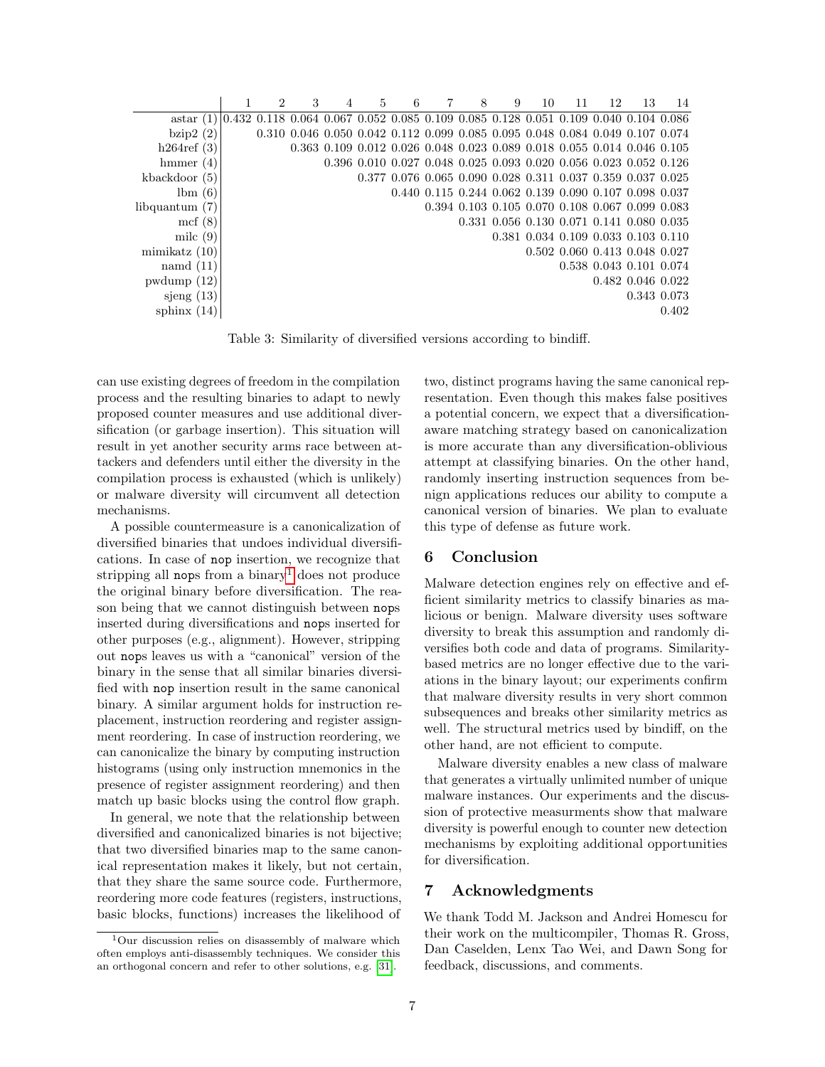|                  | 2 | 3 | 4 | 5 | 6 | 8 | 9 | 10 | 11 | 12                                                                                                              | 13                      | 14    |
|------------------|---|---|---|---|---|---|---|----|----|-----------------------------------------------------------------------------------------------------------------|-------------------------|-------|
| astar(1)         |   |   |   |   |   |   |   |    |    | $0.432$ $0.118$ $0.064$ $0.067$ $0.052$ $0.085$ $0.109$ $0.085$ $0.128$ $0.051$ $0.109$ $0.040$ $0.104$ $0.086$ |                         |       |
| bzip2(2)         |   |   |   |   |   |   |   |    |    | 0.310 0.046 0.050 0.042 0.112 0.099 0.085 0.095 0.048 0.084 0.049 0.107 0.074                                   |                         |       |
| h264ref(3)       |   |   |   |   |   |   |   |    |    | 0.363 0.109 0.012 0.026 0.048 0.023 0.089 0.018 0.055 0.014 0.046 0.105                                         |                         |       |
| hmmer $(4)$      |   |   |   |   |   |   |   |    |    | 0.396 0.010 0.027 0.048 0.025 0.093 0.020 0.056 0.023 0.052 0.126                                               |                         |       |
| kbackdoor $(5)$  |   |   |   |   |   |   |   |    |    | 0.377 0.076 0.065 0.090 0.028 0.311 0.037 0.359 0.037 0.025                                                     |                         |       |
| lbm(6)           |   |   |   |   |   |   |   |    |    | 0.440 0.115 0.244 0.062 0.139 0.090 0.107 0.098 0.037                                                           |                         |       |
| libquantum $(7)$ |   |   |   |   |   |   |   |    |    | 0.394 0.103 0.105 0.070 0.108 0.067 0.099 0.083                                                                 |                         |       |
| mcf(8)           |   |   |   |   |   |   |   |    |    | 0.331 0.056 0.130 0.071 0.141 0.080 0.035                                                                       |                         |       |
| milc $(9)$       |   |   |   |   |   |   |   |    |    | 0.381 0.034 0.109 0.033 0.103 0.110                                                                             |                         |       |
| minikatz(10)     |   |   |   |   |   |   |   |    |    | 0.502 0.060 0.413 0.048 0.027                                                                                   |                         |       |
| namd $(11)$      |   |   |   |   |   |   |   |    |    | 0.538 0.043 0.101 0.074                                                                                         |                         |       |
| pwdump(12)       |   |   |   |   |   |   |   |    |    |                                                                                                                 | $0.482$ $0.046$ $0.022$ |       |
| sjeng $(13)$     |   |   |   |   |   |   |   |    |    |                                                                                                                 | 0.343 0.073             |       |
| sphinx $(14)$    |   |   |   |   |   |   |   |    |    |                                                                                                                 |                         | 0.402 |

<span id="page-6-0"></span>Table 3: Similarity of diversified versions according to bindiff.

can use existing degrees of freedom in the compilation process and the resulting binaries to adapt to newly proposed counter measures and use additional diversification (or garbage insertion). This situation will result in yet another security arms race between attackers and defenders until either the diversity in the compilation process is exhausted (which is unlikely) or malware diversity will circumvent all detection mechanisms.

A possible countermeasure is a canonicalization of diversified binaries that undoes individual diversifications. In case of nop insertion, we recognize that stripping all nops from a binary<sup>[1](#page-6-1)</sup> does not produce the original binary before diversification. The reason being that we cannot distinguish between nops inserted during diversifications and nops inserted for other purposes (e.g., alignment). However, stripping out nops leaves us with a "canonical" version of the binary in the sense that all similar binaries diversified with nop insertion result in the same canonical binary. A similar argument holds for instruction replacement, instruction reordering and register assignment reordering. In case of instruction reordering, we can canonicalize the binary by computing instruction histograms (using only instruction mnemonics in the presence of register assignment reordering) and then match up basic blocks using the control flow graph.

In general, we note that the relationship between diversified and canonicalized binaries is not bijective; that two diversified binaries map to the same canonical representation makes it likely, but not certain, that they share the same source code. Furthermore, reordering more code features (registers, instructions, basic blocks, functions) increases the likelihood of two, distinct programs having the same canonical representation. Even though this makes false positives a potential concern, we expect that a diversificationaware matching strategy based on canonicalization is more accurate than any diversification-oblivious attempt at classifying binaries. On the other hand, randomly inserting instruction sequences from benign applications reduces our ability to compute a canonical version of binaries. We plan to evaluate this type of defense as future work.

## 6 Conclusion

Malware detection engines rely on effective and efficient similarity metrics to classify binaries as malicious or benign. Malware diversity uses software diversity to break this assumption and randomly diversifies both code and data of programs. Similaritybased metrics are no longer effective due to the variations in the binary layout; our experiments confirm that malware diversity results in very short common subsequences and breaks other similarity metrics as well. The structural metrics used by bindiff, on the other hand, are not efficient to compute.

Malware diversity enables a new class of malware that generates a virtually unlimited number of unique malware instances. Our experiments and the discussion of protective measurments show that malware diversity is powerful enough to counter new detection mechanisms by exploiting additional opportunities for diversification.

## 7 Acknowledgments

We thank Todd M. Jackson and Andrei Homescu for their work on the multicompiler, Thomas R. Gross, Dan Caselden, Lenx Tao Wei, and Dawn Song for feedback, discussions, and comments.

<span id="page-6-1"></span><sup>1</sup>Our discussion relies on disassembly of malware which often employs anti-disassembly techniques. We consider this an orthogonal concern and refer to other solutions, e.g. [\[31\]](#page-7-33).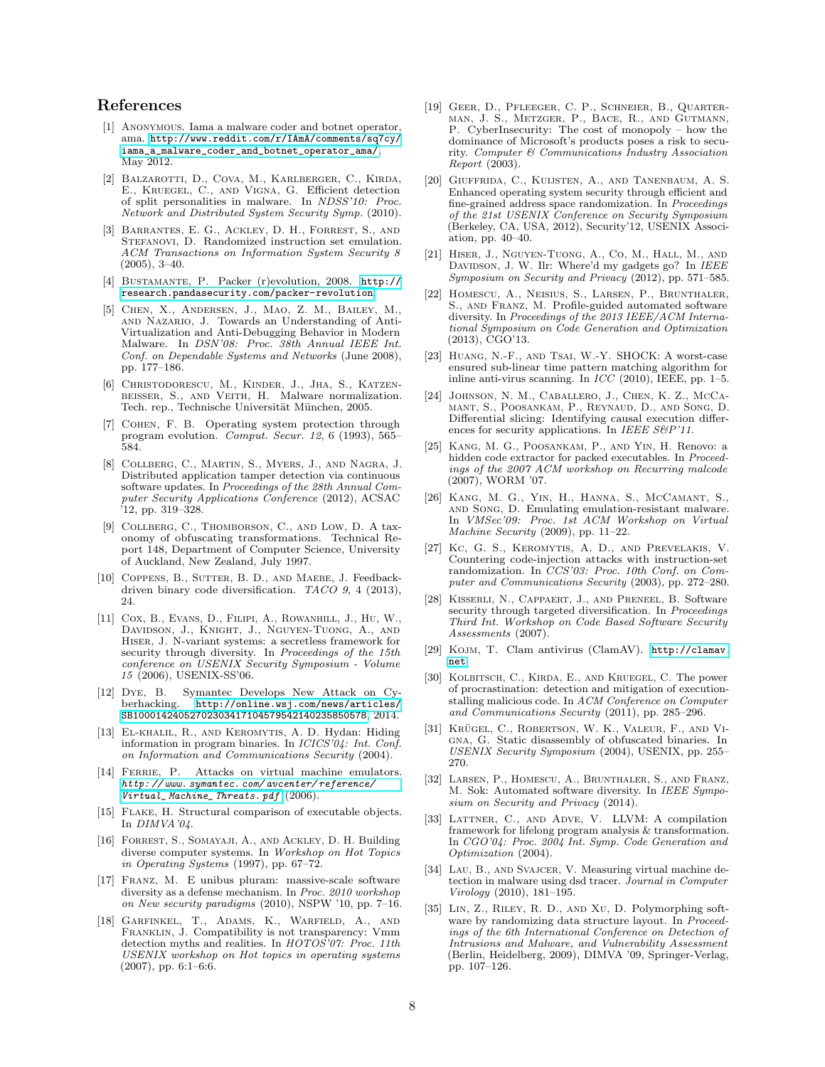## References

- <span id="page-7-22"></span>[1] Anonymous. Iama a malware coder and botnet operator, ama. [http://www.reddit.com/r/IAmA/comments/sq7cy/](http://www.reddit.com/r/IAmA/comments/sq7cy/iama_a_malware_coder_and_botnet_operator_ama/) [iama\\_a\\_malware\\_coder\\_and\\_botnet\\_operator\\_ama/](http://www.reddit.com/r/IAmA/comments/sq7cy/iama_a_malware_coder_and_botnet_operator_ama/), May 2012.
- <span id="page-7-16"></span>[2] Balzarotti, D., Cova, M., Karlberger, C., Kirda, E., Kruegel, C., and Vigna, G. Efficient detection of split personalities in malware. In NDSS'10: Proc. Network and Distributed System Security Symp. (2010).
- <span id="page-7-27"></span>[3] Barrantes, E. G., Ackley, D. H., Forrest, S., and STEFANOVI, D. Randomized instruction set emulation. ACM Transactions on Information System Security 8 (2005), 3–40.
- <span id="page-7-23"></span>[4] Bustamante, P. Packer (r)evolution, 2008. [http://](http://research.pandasecurity.com/packer-revolution) [research.pandasecurity.com/packer-revolution](http://research.pandasecurity.com/packer-revolution).
- <span id="page-7-13"></span>[5] Chen, X., Andersen, J., Mao, Z. M., Bailey, M., and Nazario, J. Towards an Understanding of Anti-Virtualization and Anti-Debugging Behavior in Modern Malware. In DSN'08: Proc. 38th Annual IEEE Int. Conf. on Dependable Systems and Networks (June 2008), pp. 177–186.
- <span id="page-7-12"></span>[6] Christodorescu, M., Kinder, J., Jha, S., Katzenbeisser, S., and Veith, H. Malware normalization. Tech. rep., Technische Universität München, 2005.
- <span id="page-7-1"></span>[7] Cohen, F. B. Operating system protection through program evolution. Comput. Secur. 12, 6 (1993), 565– 584.
- <span id="page-7-26"></span>[8] Collberg, C., Martin, S., Myers, J., and Nagra, J. Distributed application tamper detection via continuous software updates. In Proceedings of the 28th Annual Computer Security Applications Conference (2012), ACSAC '12, pp. 319–328.
- <span id="page-7-2"></span>[9] COLLBERG, C., THOMBORSON, C., AND LOW, D. A taxonomy of obfuscating transformations. Technical Report 148, Department of Computer Science, University of Auckland, New Zealand, July 1997.
- <span id="page-7-32"></span>[10] COPPENS, B., SUTTER, B. D., AND MAEBE, J. Feedbackdriven binary code diversification. TACO 9, 4 (2013), 24.
- <span id="page-7-3"></span>[11] Cox, B., Evans, D., Filipi, A., Rowanhill, J., Hu, W., Davidson, J., Knight, J., Nguyen-Tuong, A., and Hiser, J. N-variant systems: a secretless framework for security through diversity. In Proceedings of the 15th conference on USENIX Security Symposium - Volume 15 (2006), USENIX-SS'06.
- <span id="page-7-0"></span>[12] DYE, B. Symantec Develops New Attack on Cy-<br>berhacking. http://online.wsj.com/news/articles/ [http://online.wsj.com/news/articles/](http://online.wsj.com/news/articles/SB10001424052702303417104579542140235850578) [SB10001424052702303417104579542140235850578](http://online.wsj.com/news/articles/SB10001424052702303417104579542140235850578), 2014.
- <span id="page-7-25"></span>[13] EL-KHALIL, R., AND KEROMYTIS, A. D. Hydan: Hiding information in program binaries. In ICICS'04: Int. Conf. on Information and Communications Security (2004).
- <span id="page-7-15"></span>[14] FERRIE, P. Attacks on virtual machine emulators. [http: // www. symantec. com/ avcenter/ reference/](http://www.symantec.com/avcenter/reference/Virtual_Machine_Threats.pdf) [Virtual\\_ Machine\\_ Threats. pdf](http://www.symantec.com/avcenter/reference/Virtual_Machine_Threats.pdf) (2006).
- <span id="page-7-31"></span>[15] Flake, H. Structural comparison of executable objects. In DIMVA'04.
- <span id="page-7-4"></span>[16] Forrest, S., Somayaji, A., and Ackley, D. H. Building diverse computer systems. In Workshop on Hot Topics in Operating Systems (1997), pp. 67–72.
- <span id="page-7-5"></span>[17] Franz, M. E unibus pluram: massive-scale software diversity as a defense mechanism. In Proc. 2010 workshop on New security paradigms (2010), NSPW '10, pp. 7–16.
- <span id="page-7-14"></span>[18] Garfinkel, T., Adams, K., Warfield, A., and Franklin, J. Compatibility is not transparency: Vmm detection myths and realities. In HOTOS'07: Proc. 11th USENIX workshop on Hot topics in operating systems (2007), pp. 6:1–6:6.
- <span id="page-7-24"></span>[19] Geer, D., Pfleeger, C. P., Schneier, B., Quarterman, J. S., Metzger, P., Bace, R., and Gutmann, P. CyberInsecurity: The cost of monopoly – how the dominance of Microsoft's products poses a risk to security. Computer & Communications Industry Association Report (2003).
- <span id="page-7-6"></span>[20] Giuffrida, C., Kuijsten, A., and Tanenbaum, A. S. Enhanced operating system security through efficient and fine-grained address space randomization. In Proceedings of the 21st USENIX Conference on Security Symposium (Berkeley, CA, USA, 2012), Security'12, USENIX Association, pp. 40–40.
- [21] Hiser, J., Nguyen-Tuong, A., Co, M., Hall, M., and DAVIDSON, J. W. Ilr: Where'd my gadgets go? In IEEE Symposium on Security and Privacy (2012), pp. 571–585.
- <span id="page-7-7"></span>[22] Homescu, A., Neisius, S., Larsen, P., Brunthaler, S., and Franz, M. Profile-guided automated software diversity. In Proceedings of the 2013 IEEE/ACM International Symposium on Code Generation and Optimization (2013), CGO'13.
- <span id="page-7-11"></span>[23] Huang, N.-F., and Tsai, W.-Y. SHOCK: A worst-case ensured sub-linear time pattern matching algorithm for inline anti-virus scanning. In ICC (2010), IEEE, pp. 1–5.
- <span id="page-7-17"></span>[24] Johnson, N. M., Caballero, J., Chen, K. Z., McCamant, S., Poosankam, P., Reynaud, D., and Song, D. Differential slicing: Identifying causal execution differences for security applications. In IEEE S&P'11.
- <span id="page-7-21"></span>[25] Kang, M. G., Poosankam, P., and Yin, H. Renovo: a hidden code extractor for packed executables. In Proceedings of the 2007 ACM workshop on Recurring malcode (2007), WORM '07.
- <span id="page-7-18"></span>[26] Kang, M. G., Yin, H., Hanna, S., McCamant, S., and Song, D. Emulating emulation-resistant malware. In VMSec'09: Proc. 1st ACM Workshop on Virtual Machine Security (2009), pp. 11–22.
- <span id="page-7-28"></span>[27] Kc, G. S., Keromytis, A. D., and Prevelakis, V. Countering code-injection attacks with instruction-set randomization. In CCS'03: Proc. 10th Conf. on Computer and Communications Security (2003), pp. 272–280.
- <span id="page-7-8"></span>[28] Kisserli, N., Cappaert, J., and Preneel, B. Software security through targeted diversification. In Proceedings Third Int. Workshop on Code Based Software Security Assessments (2007).
- <span id="page-7-10"></span>[29] Kojm, T. Clam antivirus (ClamAV). [http://clamav.](http://clamav.net) [net](http://clamav.net).
- <span id="page-7-19"></span>[30] KOLBITSCH, C., KIRDA, E., AND KRUEGEL, C. The power of procrastination: detection and mitigation of executionstalling malicious code. In ACM Conference on Computer and Communications Security (2011), pp. 285–296.
- <span id="page-7-33"></span>[31] KRÜGEL, C., ROBERTSON, W. K., VALEUR, F., AND VIgna, G. Static disassembly of obfuscated binaries. In USENIX Security Symposium (2004), USENIX, pp. 255– 270.
- <span id="page-7-29"></span>[32] Larsen, P., Homescu, A., Brunthaler, S., and Franz, M. Sok: Automated software diversity. In IEEE Symposium on Security and Privacy (2014).
- <span id="page-7-30"></span>[33] LATTNER, C., AND ADVE, V. LLVM: A compilation framework for lifelong program analysis & transformation. In CGO'04: Proc. 2004 Int. Symp. Code Generation and Optimization (2004).
- <span id="page-7-20"></span>[34] LAU, B., AND SVAJCER, V. Measuring virtual machine detection in malware using dsd tracer. Journal in Computer Virology (2010), 181–195.
- <span id="page-7-9"></span>[35] Lin, Z., Riley, R. D., and Xu, D. Polymorphing software by randomizing data structure layout. In *Proceed*ings of the 6th International Conference on Detection of Intrusions and Malware, and Vulnerability Assessment (Berlin, Heidelberg, 2009), DIMVA '09, Springer-Verlag, pp. 107–126.